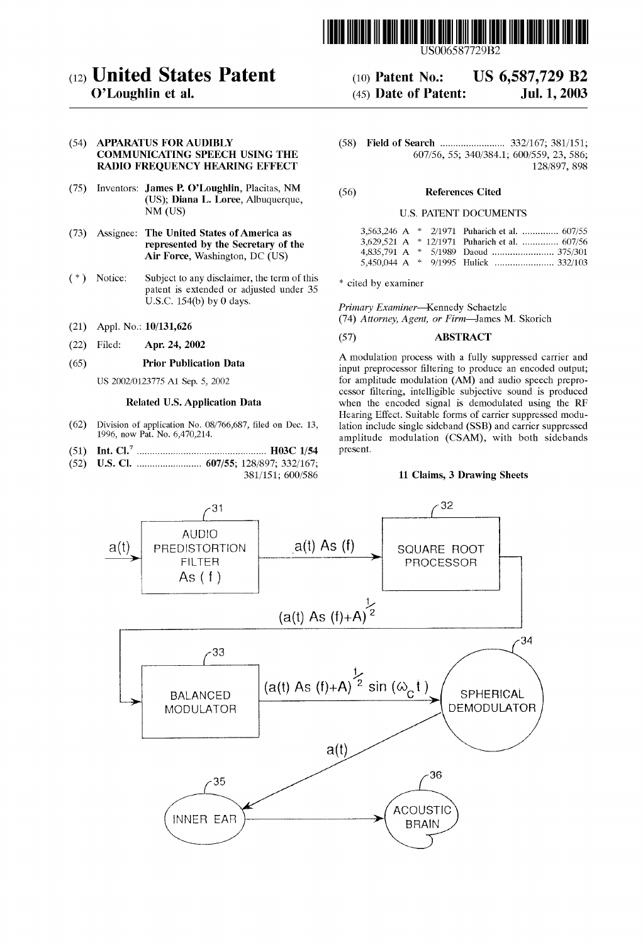

US006587729B2

US 6,587,729 B2

Jul. 1, 2003

# (12) United States Patent

## O'Loughlin et al.

#### (54) APPARATUS FOR AUDIBLY COMMUNICATING SPEECH USING THE RADIO FREQUENCY HEARING EFFECT

- (75) Inventors: James P. O'Loughlin, Placitas, NM (US); Diana L. Loree, Albuquerque, NM (US)
- (73) Assignee: The United States of America as represented by the Secretary of the Air Force, Washington, DC (US)
- (\*) Notice: Subject to any disclaimer, the term of this patent is extended or adjusted under 35 U.S.C. 154(b) by 0 days.
- (21) Appl. No.: 10/131,626
- (22) Filed: Apr. 24, 2002

#### (65) Prior Publication Data

US 2002/0123775 A1 Sep. 5, 2002

### Related U.S. Application Data

- (62) Division of application No. 08/766,687, filed on Dec. 13, 1996, now Pat. No. 6,470,214.
- (51) Int. Cl................................................... HO3C 1/54
- (52) U.S. Cl. ......................... 607/55; 128/897; 332/167; 381/151; 600/586

(58) Field of Search ......................... 332/167; 381/151; 607/56, 55; 340/384.1; 600/559, 23, 586; 128/897, 898

#### (56) References Cited

(10) Patent No.: (45) Date of Patent:

#### U.S. PATENT DOCUMENTS

|  | 3,563,246 A * 2/1971 Puharich et al.  607/55  |
|--|-----------------------------------------------|
|  | 3,629,521 A * 12/1971 Puharich et al.  607/56 |
|  |                                               |
|  |                                               |

\* cited by examiner

Primary Examiner-Kennedy Schaetzle

(74) Attorney, Agent, or Firm-James M. Skorich

### (57) ABSTRACT

A modulation process with a fully Suppressed carrier and input preprocessor filtering to produce an encoded output; for amplitude modulation (AM) and audio speech preprocessor filtering, intelligible subjective sound is produced when the encoded signal is demodulated using the RF Hearing Effect. Suitable forms of carrier suppressed modulation include single sideband (SSB) and carrier suppressed amplitude modulation (CSAM), with both sidebands present.

#### 11 Claims, 3 Drawing Sheets

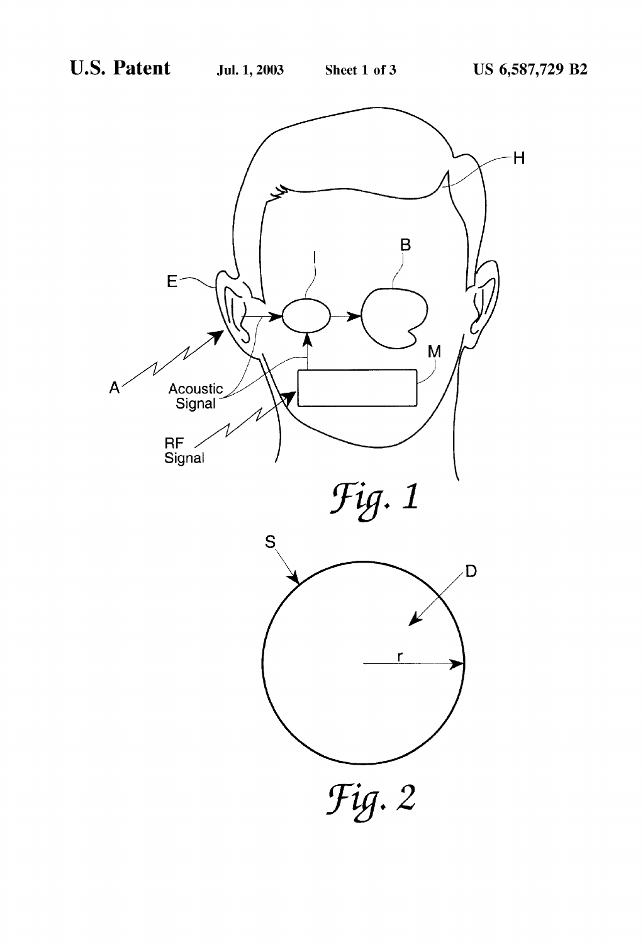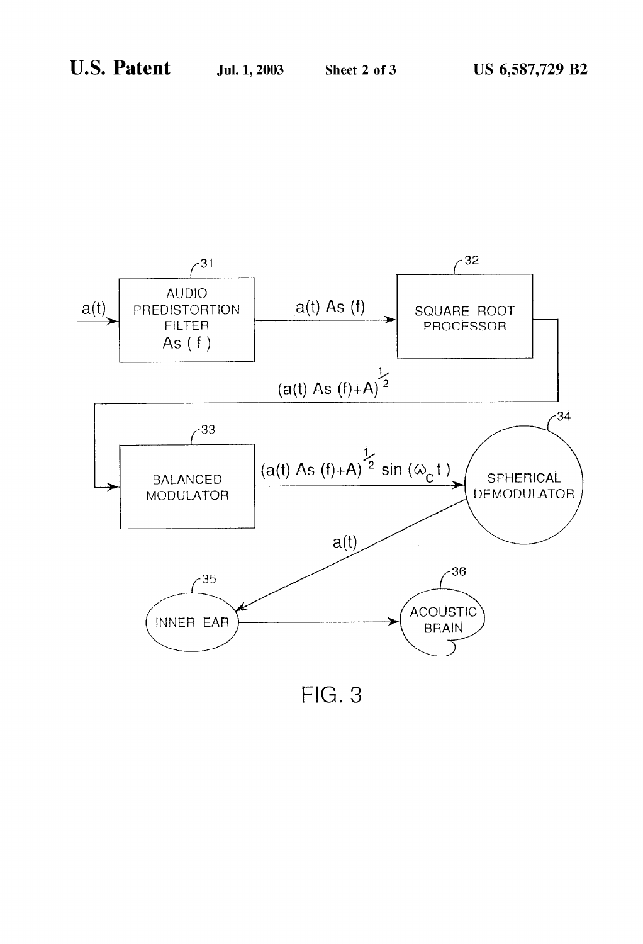

 $FIG. 3$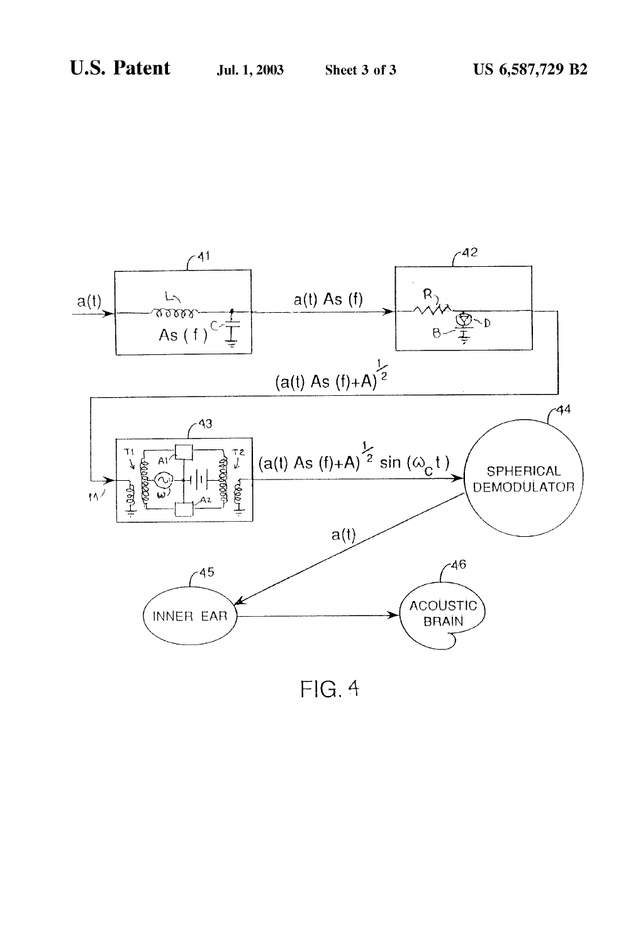

 $FIG. 4$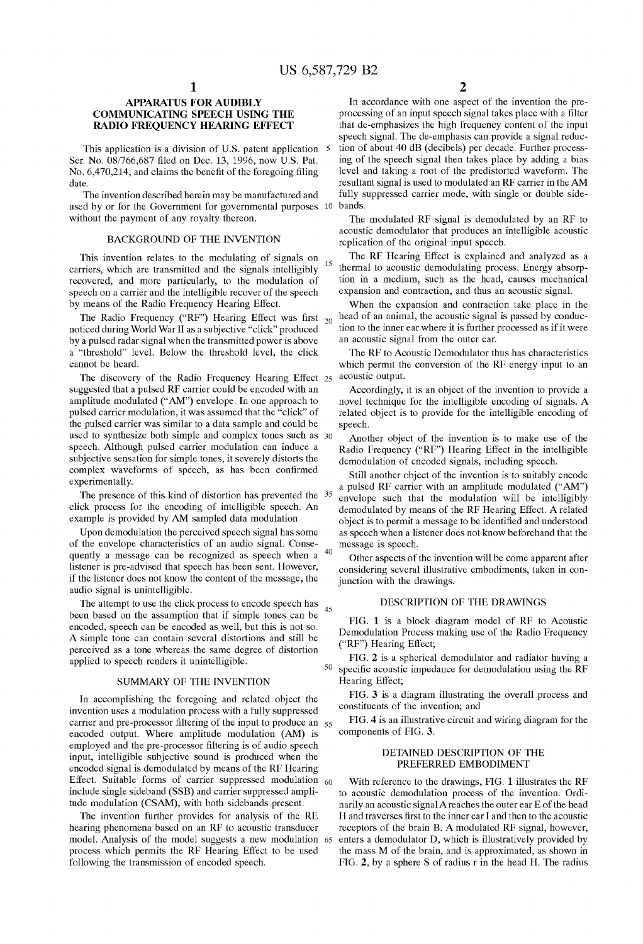5

15

45

#### APPARATUS FOR AUDIBLY COMMUNICATING SPEECH USING THE RADIO FREQUENCY HEARING EFFECT

This application is a division of U.S. patent application Ser. No. 08/766,687 filed on Dec. 13, 1996, now U.S. Pat. No. 6,470,214, and claims the benefit of the foregoing filing date.

The invention described herein may be manufactured and used by or for the Government for governmental purposes 10 bands. without the payment of any royalty thereon.

#### BACKGROUND OF THE INVENTION

This invention relates to the modulating of signals on carriers, which are transmitted and the Signals intelligibly recovered, and more particularly, to the modulation of speech on a carrier and the intelligible recover of the speech by means of the Radio Frequency Hearing Effect.

The Radio Frequency ("RF") Hearing Effect was first  $_{20}$ noticed during World War II as a subjective "click" produced by a pulsed radar signal when the transmitted power is above a "threshold" level. Below the threshold level, the click cannot be heard.

The discovery of the Radio Frequency Hearing Effect 25 suggested that a pulsed RF carrier could be encoded with an amplitude modulated ("AM") envelope. In one approach to pulsed carrier modulation, it was assumed that the "click" of the pulsed carrier was similar to a data Sample and could be used to synthesize both simple and complex tones such as  $30$ speech. Although pulsed carrier modulation can induce a subjective sensation for simple tones, it severely distorts the complex Waveforms of Speech, as has been confirmed experimentally.

The presence of this kind of distortion has prevented the 35 click process for the encoding of intelligible speech. An example is provided by AM Sampled data modulation

Upon demodulation the perceived speech Signal has Some of the envelope characteristics of an audio signal. Conse quently a message can be recognized as speech when a  $40$ listener is pre-advised that Speech has been sent. However, if the listener does not know the content of the message, the audio signal is unintelligible.

The attempt to use the click process to encode speech has been based on the assumption that if simple tones can be encoded, speech can be encoded as well, but this is not So. A simple tone can contain several distortions and still be perceived as a tone whereas the Same degree of distortion applied to speech renders it unintelligible.

#### SUMMARY OF THE INVENTION

In accomplishing the foregoing and related object the invention uses a modulation process with a fully Suppressed carrier and pre-processor filtering of the input to produce an 55 encoded output. Where amplitude modulation (AM) is employed and the pre-processor filtering is of audio speech input, intelligible subjective sound is produced when the encoded signal is demodulated by means of the RF Hearing Effect. Suitable forms of carrier suppressed modulation  $_{60}$ include single sideband (SSB) and carrier suppressed amplitude modulation (CSAM), with both sidebands present.

The invention further provides for analysis of the RE hearing phenomena based on an RF to acoustic transducer model. Analysis of the model Suggests a new modulation 65 process which permits the RF Hearing Effect to be used following the transmission of encoded speech.

 $\mathfrak{D}$ 

In accordance with one aspect of the invention the pre-<br>processing of an input speech signal takes place with a filter that de-emphasizes the high frequency content of the input speech signal. The de-emphasis can provide a signal reduction of about 40 dB (decibels) per decade. Further processing of the speech signal then takes place by adding a bias level and taking a root of the predistorted waveform. The resultant signal is used to modulated an RF carrier in the AM fully suppressed carrier mode, with single or double side-

The modulated RF signal is demodulated by an RF to acoustic demodulator that produces an intelligible acoustic replication of the original input speech.

The RF Hearing Effect is explained and analyzed as a thermal to acoustic demodulating process. Energy absorp tion in a medium, Such as the head, causes mechanical expansion and contraction, and thus an acoustic signal.

When the expansion and contraction take place in the head of an animal, the acoustic signal is passed by conduction to the inner ear where it is further processed as if it were an acoustic signal from the outer ear.

The RF to Acoustic Demodulator thus has characteristics which permit the conversion of the RF energy input to an acoustic output.

Accordingly, it is an object of the invention to provide a novel technique for the intelligible encoding of signals. A related object is to provide for the intelligible encoding of Speech.

Another object of the invention is to make use of the Radio Frequency ("RF") Hearing Effect in the intelligible demodulation of encoded signals, including speech.

Still another object of the invention is to suitably encode a pulsed RF carrier with an amplitude modulated ("AM") envelope such that the modulation will be intelligibly demodulated by means of the RF Hearing Effect. A related object is to permit a message to be identified and understood as Speech when a listener does not know beforehand that the message is speech.

Other aspects of the invention will be come apparent after considering several illustrative embodiments, taken in conjunction with the drawings.

#### DESCRIPTION OF THE DRAWINGS

FIG. 1 is a block diagram model of RF to Acoustic Demodulation Process making use of the Radio Frequency ("RF") Hearing Effect;

50 FIG. 2 is a spherical demodulator and radiator having a specific acoustic impedance for demodulation using the RF Hearing Effect;

FIG. 3 is a diagram illustrating the overall process and constituents of the invention; and

FIG. 4 is an illustrative circuit and wiring diagram for the components of FIG. 3.

#### DETAINED DESCRIPTION OF THE PREFERRED EMBODIMENT

With reference to the drawings, FIG. 1 illustrates the RF to acoustic demodulation process of the invention. Ordi narily an acoustic signal A reaches the outer ear E of the head H and traverses first to the inner ear I and then to the acoustic receptors of the brain B. A modulated RF signal, however, enters a demodulator D, which is illustratively provided by the mass M of the brain, and is approximated, as shown in FIG. 2, by a sphere S of radius r in the head H. The radius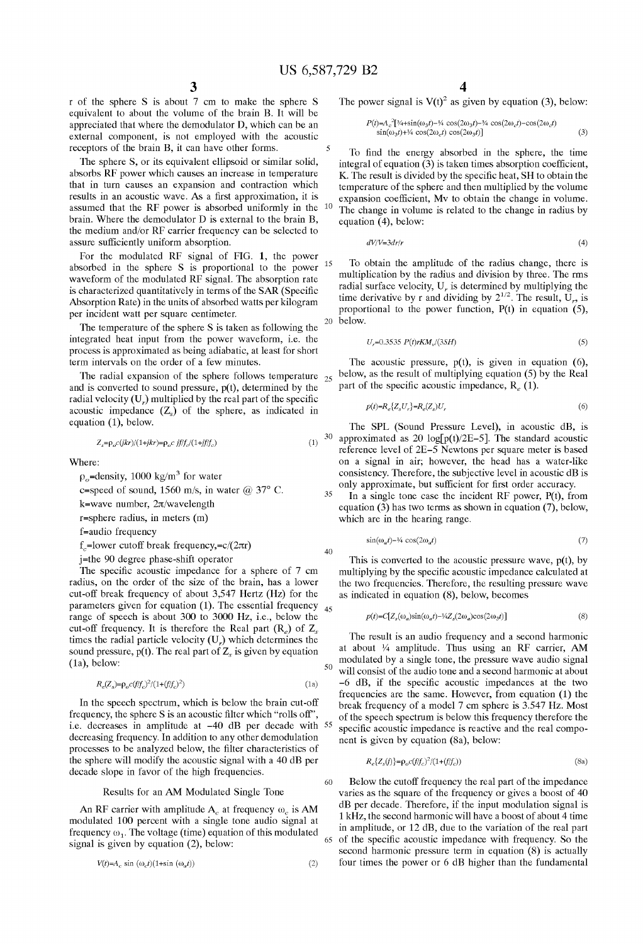5

15

40

60

 $65$ 

r of the sphere S is about 7 cm to make the sphere S equivalent to about the volume of the brain B. It will be appreciated that where the demodulator D, which can be an external component, is not employed with the acoustic receptors of the brain B, it can have other forms.

The sphere S, or its equivalent ellipsoid or similar solid, absorbs RF power which causes an increase in temperature that in turn causes an expansion and contraction which results in an acoustic wave. As a first approximation, it is assumed that the RF power is absorbed uniformly in the <sup>10</sup> brain. Where the demodulator D is external to the brain B, the medium and/or RF carrier frequency can be Selected to assure sufficiently uniform absorption.

For the modulated RF signal of FIG. 1, the power absorbed in the Sphere S is proportional to the power waveform of the modulated RF signal. The absorption rate<br>is characterized quantitatively in terms of the SAR (Specific Absorption Rate) in the units of absorbed watts per kilogram per incident watt per Square centimeter.

The temperature of the sphere S is taken as following the integrated heat input from the power waveform, i.e. the proceSS is approximated as being adiabatic, at least for short term intervals on the order of a few minutes.

The radial expansion of the sphere follows temperature  $_{25}$ and is converted to sound pressure,  $p(t)$ , determined by the radial velocity (U<sub>r</sub>) multiplied by the real part of the specific acoustic impedance  $(Z<sub>s</sub>)$  of the sphere, as indicated in equation (1), below.

$$
Z_s = \rho_o c(jkr)/(1+jkr) = \rho_o c \; jf/f_c/(1+jf/f_c) \tag{1}
$$

Where:

 $p_e$ =density, 1000 kg/m<sup>3</sup> for water

c=speed of sound, 1560 m/s, in water  $@37°$  C.

k=wave number,  $2\pi$ /wavelength

r=Sphere radius, in meters (m)

f=audio frequency

 $f_c$ =lower cutoff break frequency,= $c/(2\pi r)$ 

j=the 90 degree phase-shift operator

The specific acoustic impedance for a sphere of 7 cm radius, on the order of the size of the brain, has a lower cut-off break frequency of about 3,547 Hertz (Hz) for the parameters given for equation  $(1)$ . The essential frequency  $_{45}$ range of speech is about 300 to 3000 Hz, i.e., below the cut-off frequency. It is therefore the Real part  $(R_e)$  of  $Z_s$ . times the radial particle velocity  $(U<sub>r</sub>)$  which determines the sound pressure,  $p(t)$ . The real part of  $Z<sub>s</sub>$  is given by equation (1a), below:

$$
R_e(Z_s) = \rho_o c (f/f_c)^2 / (1 + (f/f_c)^2)
$$
\n(1a)

In the speech spectrum, which is below the brain cut-off frequency, the sphere S is an acoustic filter which "rolls off", i.e. decreases in amplitude at -40 dB per decade with 55 decreasing frequency. In addition to any other demodulation processes to be analyzed below, the filter characteristics of the sphere will modify the acoustic signal with a 40 dB per decade slope in favor of the high frequencies.

#### Results for an AM Modulated Single Tone

An RF carrier with amplitude A at frequency  $\omega_c$  is AM modulated 100 percent with a single tone audio signal at frequency  $\omega_1$ . The voltage (time) equation of this modulated signal is given by equation  $(2)$ , below:

$$
V(t)=A_c \sin(\omega_c t)(1+\sin(\omega_a t))\tag{2}
$$

The power signal is  $V(t)^2$  as given by equation (3), below:

$$
P(t)=A_c^2[3/4+sin(\omega_3 t)-\frac{1}{4}\cos(2\omega_3 t)-\frac{3}{4}\cos(2\omega_c t)-\cos(2\omega_c t)\sin(\omega_3 t)+\frac{1}{4}\cos(2\omega_c t)\cos(2\omega_3 t)]
$$
\n(3)

To find the energy absorbed in the sphere, the time integral of equation (3) is taken times absorption coefficient, K. The result is divided by the specific heat, SH to obtain the temperature of the Sphere and then multiplied by the Volume expansion coefficient, MV to obtain the change in Volume. The change in Volume is related to the change in radius by equation (4), below:

$$
dV/V = 3dr/r \tag{4}
$$

To obtain the amplitude of the radius change, there is multiplication by the radius and division by three. The rms radial surface velocity,  $U_r$  is determined by multiplying the time derivative by r and dividing by  $2^{1/2}$ . The result,  $\overline{U}_r$ , is proportional to the power function, P(t) in equation (5), below.  $20\,$ 

$$
U_r = 0.3535 \ P(t)rKM_v/(3SH) \tag{5}
$$

The acoustic pressure,  $p(t)$ , is given in equation (6), below, as the result of multiplying equation (5) by the Real part of the specific acoustic impedance,  $R_e(1)$ .

$$
p(t)=R_e\{Z_sU_r\}=R_e(Z_s)U_r\tag{6}
$$

The SPL (Sound Pressure Level), in acoustic dB, is 30 approximated as 20 log[ $p(t)/2E-5$ ]. The standard acoustic reference level of 2E-5 Newtons per square meter is based on a signal in air; however, the head has a water-like consistency. Therefore, the Subjective level in acoustic dB is only approximate, but sufficient for first order accuracy.

35 In a single tone case the incident RF power,  $P(t)$ , from equation (3) has two terms as shown in equation (7), below, which are in the hearing range.

$$
\sin(\omega_a t) - \frac{1}{4} \cos(2\omega_a t) \tag{7}
$$

This is converted to the acoustic pressure wave, p(t), by multiplying by the Specific acoustic impedance calculated at the two frequencies. Therefore, the resulting pressure wave as indicated in equation (8), below, becomes

$$
p(t) = C[Z_s(\omega_a)\sin(\omega_a t) - \frac{1}{4}Z_s(2\omega_a)\cos(2\omega_3 t)]
$$
\n(8)

50 The result is an audio frequency and a second harmonic at about  $\frac{1}{4}$  amplitude. Thus using an RF carrier, AM modulated by a single tone, the pressure wave audio signal will consist of the audio tone and a second harmonic at about -6 dB, if the Specific acoustic impedances at the two frequencies are the same. However, from equation (1) the break frequency of a model 7 cm sphere is 3.547 Hz. Most of the Speech spectrum is below this frequency therefore the specific acoustic impedance is reactive and the real component is given by equation (8a), below:

$$
R_e\{Z_s(f)\} = \rho_o c(f/f_c)^2 / (1 + (f/f_c))\tag{8a}
$$

Below the cutoff frequency the real part of the impedance varies as the Square of the frequency or gives a boost of 40 dB per decade. Therefore, if the input modulation signal is 1 kHz, the second harmonic will have a boost of about 4 time in amplitude, or 12 dB, due to the variation of the real part of the specific acoustic impedance with frequency. So the second harmonic pressure term in equation (8) is actually four times the power or 6 dB higher than the fundamental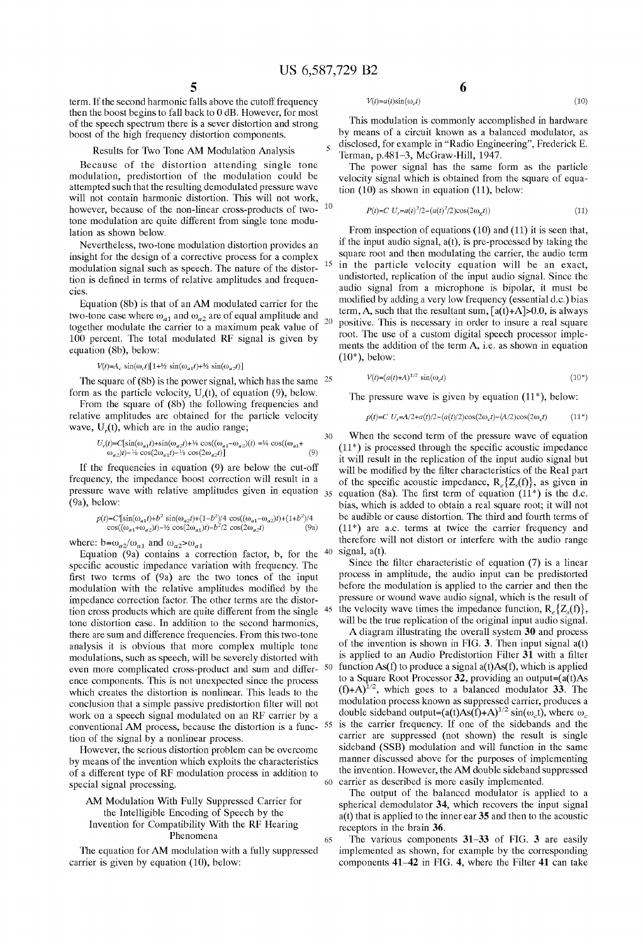$V(t)=a(t)\sin(\omega_{c}t)$ 

1O

15

 $30$ 

50

55

65

term. If the second harmonic falls above the cutoff frequency<br>then the boost begins to fall back to 0 dB. However, for most<br>of the speech spectrum there is a sever distortion and strong boost of the high frequency distortion components.

#### Results for Two Tone AM Modulation Analysis

Because of the distortion attending single tone modulation, predistortion of the modulation could be attempted Such that the resulting demodulated pressure wave will not contain harmonic distortion. This will not work, however, because of the non-linear cross-products of two tone modulation are quite different from Single tone modu lation as shown below.

Nevertheless, two-tone modulation distortion provides an insight for the design of a corrective process for a complex modulation signal such as speech. The nature of the distortion is defined in terms of relative amplitudes and frequencies.

Equation (8b) is that of an AM modulated carrier for the two-tone case where  $\omega_{a1}$  and  $\omega_{a2}$  are of equal amplitude and  $20$ together modulate the carrier to a maximum peak value of 100 percent. The total modulated RF signal is given by equation (8b), below:

#### $V(t) = A_c \sin(\omega_c t) [1 + \frac{1}{2} \sin(\omega_{a1} t) + \frac{1}{2} \sin(\omega_{a2} t)]$

The square of (8b) is the power signal, which has the same  $25$ form as the particle velocity,  $U_r(t)$ , of equation (9), below.

From the Square of (8b) the following frequencies and relative amplitudes are obtained for the particle Velocity wave,  $U_r(t)$ , which are in the audio range;

$$
\begin{array}{l} U_r(t)\!\!=\!\!C[\sin(\omega_{a1}t)\!\!+\!\sin(\omega_{a2}t)\!\!+\!\!{\it 4}\cos((\omega_{a1}\!\!-\!\omega_{a2})(t)\!\!=\!\!{\it 4}\cos((\omega_{a1}\!\!+\!\!\omega_{a2})t)\!\!-\!\!{\it 4}\sin(\omega_{a3}t)\!\!\\ \omega_{a2})t)\!\!-\!\!{\it 4}\cos(2\omega_{a1}t)\!\!-\!\!{\it 4}\sin(2\omega_{a2}t)\big] \end{array} \eqno(9)
$$

If the frequencies in equation (9) are below the cut-off frequency, the impedance boost correction will result in a pressure wave with relative amplitudes given in equation  $_{35}$ (9a), below:

$$
p(t) = C \{\sin(\omega_{a1}t) + b^2 \sin(\omega_{a2}t) + (1 - b^2)/4 \cos((\omega_{a1} - \omega_{a2})t) + (1 + b^2)/4 \cos((\omega_{a1} + \omega_{a2})t) - \frac{1}{2} \cos(2\omega_{a1}t) - \frac{1}{2} \cos(2\omega_{a2}t) \}
$$
(9a)

where:  $b = \omega_{a2}/\omega_{a1}$  and  $\omega_{a2} > \omega_{a1}$ 

Equation (9a) contains a correction factor, b, for the specific acoustic impedance variation with frequency. The first two terms of  $(9a)$  are the two tones of the input modulation with the relative amplitudes modified by the impedance correction factor. The other terms are the distor tion cross products which are quite different from the single tone distortion case. In addition to the second harmonics, there are Sum and difference frequencies. From this two-tone analysis it is obvious that more complex multiple tone modulations, such as speech, will be severely distorted with even more complicated cross-product and sum and difference components. This is not unexpected since the process which creates the distortion is nonlinear. This leads to the conclusion that a simple passive predistortion filter will not work on a speech signal modulated on an RF carrier by a conventional AM process, because the distortion is a func tion of the signal by a nonlinear process.

However, the serious distortion problem can be overcome by means of the invention which exploits the characteristics of a different type of RF modulation process in addition to special signal processing.

#### AM Modulation With Fully Suppressed Carrier for the Intelligible Encoding of Speech by the Invention for Compatibility With the RF Hearing Phenomena

The equation for AM modulation with a fully suppressed carrier is given by equation (10), below:

$$
6
$$

 $(10)$ 

This modulation is commonly accomplished in hardware by means of a circuit known as a balanced modulator, as disclosed, for example in "Radio Engineering", Frederick E.

Terman, p.481–3, McGraw-Hill, 1947.<br>The power signal has the same form as the particle velocity signal which is obtained from the square of equation (10) as shown in equation (11), below:

$$
P(t) = C \ U_r = a(t)^2 / 2 - (a(t)^2 / 2) \cos(2\omega_r t)
$$
\n(11)

From inspection of equations (10) and (11) it is seen that, if the input audio signal,  $a(t)$ , is pre-processed by taking the square root and then modulating the carrier, the audio term in the particle Velocity equation will be an exact, undistorted, replication of the input audio signal. Since the audio signal from a microphone is bipolar, it must be modified by adding a very low frequency (essential d.c.) bias term, A, such that the resultant sum,  $[a(t)+A]>0.0$ , is always positive. This is necessary in order to insure a real square root. The use of a custom digital speech processor implements the addition of the term A, i.e. as shown in equation  $(10^*)$ , below:

$$
V(t) = (a(t) + A)^{1/2} \sin(\omega_c t) \tag{10*}
$$

The pressure wave is given by equation  $(11^*)$ , below:

$$
p(t) = C U_r = A/2 + a(t)/2 - (a(t)/2)\cos(2\omega_c t) - (A/2)\cos(2\omega_c t)
$$
 (11<sup>\*</sup>)

40 signal,  $a(t)$ . When the second term of the pressure wave of equation  $(11^*)$  is processed through the specific acoustic impedance it will result in the replication of the input audio Signal but will be modified by the filter characteristics of the Real part of the specific acoustic impedance,  $R_{\geq} \{Z_{\zeta}(f)\}\)$ , as given in equation (8a). The first term of equation  $(11^*)$  is the d.c. bias, which is added to obtain a real Square root; it will not be audible or cause distortion. The third and fourth terms of  $(11^*)$  are a.c. terms at twice the carrier frequency and therefore will not distort or interfere with the audio range

45 the velocity wave times the impedance function,  $R_a \{Z_c(f)\}\,$ , Since the filter characteristic of equation (7) is a linear process in amplitude, the audio input can be predistorted before the modulation is applied to the carrier and then the preSSure or wound wave audio signal, which is the result of will be the true replication of the original input audio signal.

60 carrier as described is more easily implemented. A diagram illustrating the overall system 30 and process of the invention is shown in FIG. 3. Then input signal  $a(t)$ is applied to an Audio Predistortion Filter  $3\overline{1}$  with a filter function As(f) to produce a signal a(t)As(f), which is applied<br>to a Square Root Processor 32, providing an output=( $a(t)$ As  $(f)+A$ <sup> $1/2$ </sup>, which goes to a balanced modulator 33. The modulation process known as Suppressed carrier, produces a double sideband output=(a(t)As(f)+A)<sup>1/2</sup> sin( $\omega_c$ t), where  $\omega_c$ is the carrier frequency. If one of the Sidebands and the carrier are suppressed (not shown) the result is single sideband (SSB) modulation and will function in the same manner discussed above for the purposes of implementing the invention. However, the AM double sideband suppressed

The output of the balanced modulator is applied to a spherical demodulator 34, which recovers the input signal a(t) that is applied to the inner ear 35 and then to the acoustic receptors in the brain 36.<br>The various components 31–33 of FIG. 3 are easily

implemented as shown, for example by the corresponding components 41-42 in FIG. 4, where the Filter 41 can take